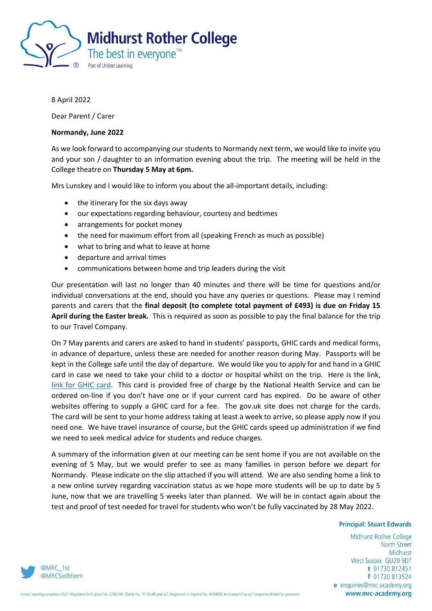

## 8 April 2022

Dear Parent / Carer

## **Normandy, June 2022**

As we look forward to accompanying our students to Normandy next term, we would like to invite you and your son / daughter to an information evening about the trip. The meeting will be held in the College theatre on **Thursday 5 May at 6pm.**

Mrs Lunskey and I would like to inform you about the all-important details, including:

- the itinerary for the six days away
- our expectations regarding behaviour, courtesy and bedtimes
- arrangements for pocket money
- the need for maximum effort from all (speaking French as much as possible)
- what to bring and what to leave at home
- departure and arrival times
- communications between home and trip leaders during the visit

Our presentation will last no longer than 40 minutes and there will be time for questions and/or individual conversations at the end, should you have any queries or questions. Please may I remind parents and carers that the **final deposit (to complete total payment of £493) is due on Friday 15 April during the Easter break.** This is required as soon as possible to pay the final balance for the trip to our Travel Company.

On 7 May parents and carers are asked to hand in students' passports, GHIC cards and medical forms, in advance of departure, unless these are needed for another reason during May. Passports will be kept in the College safe until the day of departure. We would like you to apply for and hand in a GHIC card in case we need to take your child to a doctor or hospital whilst on the trip. Here is the link, [link for GHIC card.](https://www.nhs.uk/using-the-nhs/healthcare-abroad/apply-for-a-free-uk-global-health-insurance-card-ghic/) This card is provided free of charge by the National Health Service and can be ordered on-line if you don't have one or if your current card has expired. Do be aware of other websites offering to supply a GHIC card for a fee. The gov.uk site does not charge for the cards. The card will be sent to your home address taking at least a week to arrive, so please apply now if you need one. We have travel insurance of course, but the GHIC cards speed up administration if we find we need to seek medical advice for students and reduce charges.

A summary of the information given at our meeting can be sent home if you are not available on the evening of 5 May, but we would prefer to see as many families in person before we depart for Normandy. Please indicate on the slip attached if you will attend. We are also sending home a link to a new online survey regarding vaccination status as we hope more students will be up to date by 5 June, now that we are travelling 5 weeks later than planned. We will be in contact again about the test and proof of test needed for travel for students who won't be fully vaccinated by 28 May 2022.

## **Principal: Stuart Edwards**

Midhurst Rother College **North Street** Midhurst West Sussex GU29 9DT t 01730 812451 f 01730 813524 e enquiries@mrc-academy.org www.mrc-academy.org